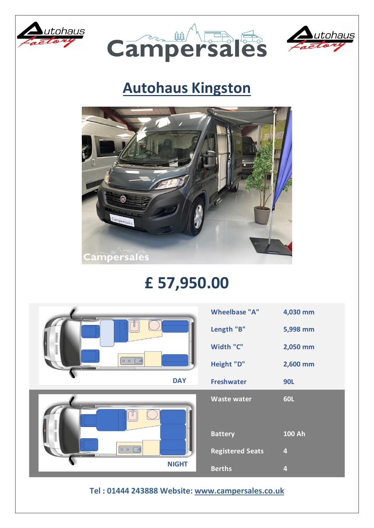





## **Autohaus Kingston**



## **£ 57,950.00**

| THERBRITE DISTRIBUTE<br>$  \circ   \circ  $<br>国 | <b>Wheelbase "A"</b>    | 4,030 mm                |
|--------------------------------------------------|-------------------------|-------------------------|
|                                                  | Length "B"              | 5,998 mm                |
|                                                  | Width "C"               | 2,050 mm                |
|                                                  | Height "D"              | 2,600 mm                |
| <b>DAY</b>                                       | <b>Freshwater</b>       | <b>90L</b>              |
| ниции                                            | <b>Waste water</b>      | <b>60L</b>              |
| нишни                                            | <b>Battery</b>          | <b>100 Ah</b>           |
| $\circ \circ$<br>国                               | <b>Registered Seats</b> | $\overline{\mathbf{4}}$ |
| <b>NIGHT</b>                                     |                         |                         |

**Tel : 01444 243888 Website: [www.campersales.co.uk](http://www.campersales.co.uk/)**